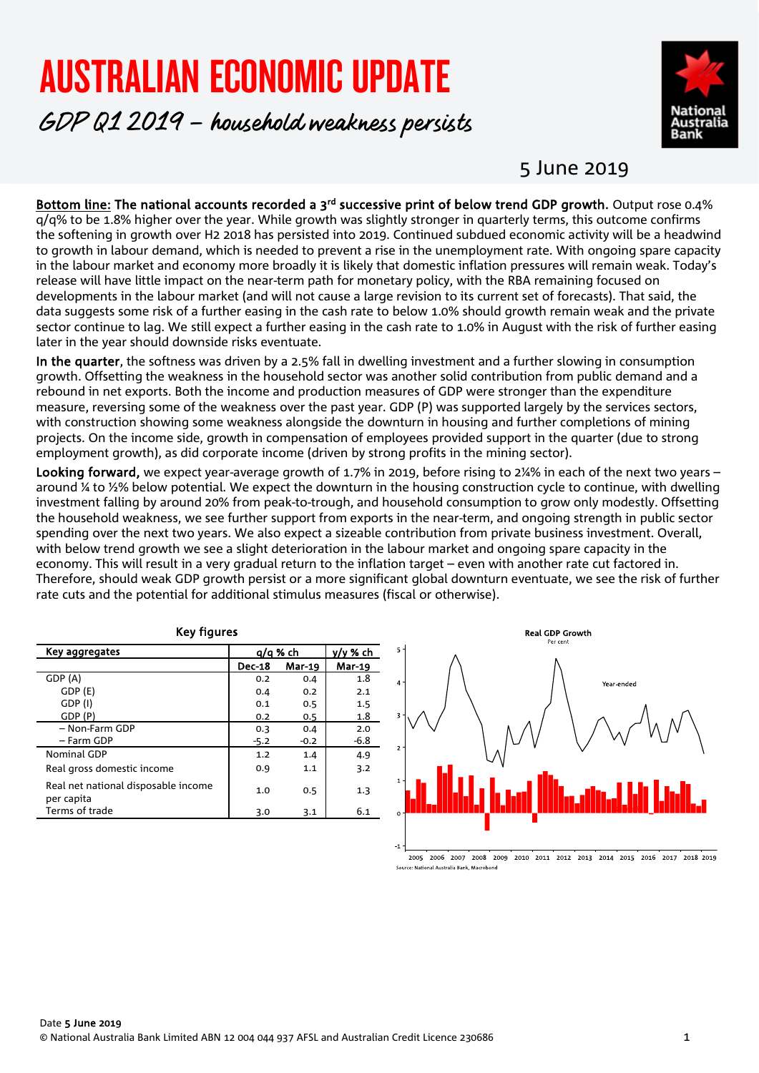# AUSTRALIAN ECONOMIC UPDATE

GDP Q1 2019 – household weakness persists



### 5 June 2019

Bottom line: The national accounts recorded a 3<sup>rd</sup> successive print of below trend GDP growth. Output rose 0.4% q/q% to be 1.8% higher over the year. While growth was slightly stronger in quarterly terms, this outcome confirms the softening in growth over H2 2018 has persisted into 2019. Continued subdued economic activity will be a headwind to growth in labour demand, which is needed to prevent a rise in the unemployment rate. With ongoing spare capacity in the labour market and economy more broadly it is likely that domestic inflation pressures will remain weak. Today's release will have little impact on the near-term path for monetary policy, with the RBA remaining focused on developments in the labour market (and will not cause a large revision to its current set of forecasts). That said, the data suggests some risk of a further easing in the cash rate to below 1.0% should growth remain weak and the private sector continue to lag. We still expect a further easing in the cash rate to 1.0% in August with the risk of further easing later in the year should downside risks eventuate.

In the quarter, the softness was driven by a 2.5% fall in dwelling investment and a further slowing in consumption growth. Offsetting the weakness in the household sector was another solid contribution from public demand and a rebound in net exports. Both the income and production measures of GDP were stronger than the expenditure measure, reversing some of the weakness over the past year. GDP (P) was supported largely by the services sectors, with construction showing some weakness alongside the downturn in housing and further completions of mining projects. On the income side, growth in compensation of employees provided support in the quarter (due to strong employment growth), as did corporate income (driven by strong profits in the mining sector).

Looking forward, we expect year-average growth of 1.7% in 2019, before rising to 2¼% in each of the next two years – around ¼ to ½% below potential. We expect the downturn in the housing construction cycle to continue, with dwelling investment falling by around 20% from peak-to-trough, and household consumption to grow only modestly. Offsetting the household weakness, we see further support from exports in the near-term, and ongoing strength in public sector spending over the next two years. We also expect a sizeable contribution from private business investment. Overall, with below trend growth we see a slight deterioration in the labour market and ongoing spare capacity in the economy. This will result in a very gradual return to the inflation target – even with another rate cut factored in. Therefore, should weak GDP growth persist or a more significant global downturn eventuate, we see the risk of further rate cuts and the potential for additional stimulus measures (fiscal or otherwise).

| Key figures                                       |               |        |               |  |  |
|---------------------------------------------------|---------------|--------|---------------|--|--|
| Key aggregates                                    | g/g % ch      |        | v/v % ch      |  |  |
|                                                   | <b>Dec-18</b> | Mar-19 | <b>Mar-19</b> |  |  |
| GDP(A)                                            | 0.2           | 0.4    | 1.8           |  |  |
| GDP (E)                                           | 0.4           | 0.2    | 2.1           |  |  |
| GDP (I)                                           | 0.1           | 0.5    | $1.5\,$       |  |  |
| GDP (P)                                           | 0.2           | 0.5    | 1.8           |  |  |
| - Non-Farm GDP                                    | 0.3           | 0.4    | 2.0           |  |  |
| - Farm GDP                                        | $-5.2$        | $-0.2$ | -6.8          |  |  |
| Nominal GDP                                       | 1.2           | 1.4    | 4.9           |  |  |
| Real gross domestic income                        | 0.9           | 1.1    | 3.2           |  |  |
| Real net national disposable income<br>per capita | 1.0           | 0.5    | 1.3           |  |  |
| Terms of trade                                    | 3.0           | 3.1    | 6.1           |  |  |



2005 2006 2007 2008 2009 2010 2011 2012 2013 2014 2015 2016 2017 2018 2019 **Source: National Australia Bank, Macrobond**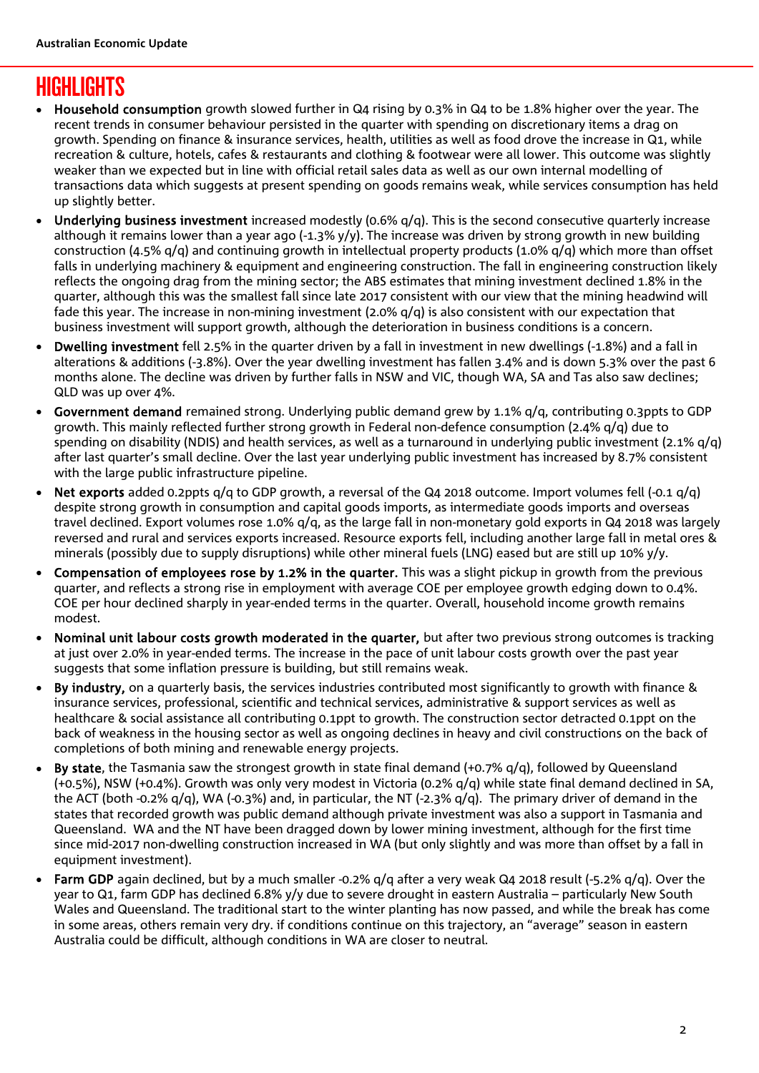# **HIGHLIGHTS**

- Household consumption growth slowed further in Q4 rising by 0.3% in Q4 to be 1.8% higher over the year. The recent trends in consumer behaviour persisted in the quarter with spending on discretionary items a drag on growth. Spending on finance & insurance services, health, utilities as well as food drove the increase in Q1, while recreation & culture, hotels, cafes & restaurants and clothing & footwear were all lower. This outcome was slightly weaker than we expected but in line with official retail sales data as well as our own internal modelling of transactions data which suggests at present spending on goods remains weak, while services consumption has held up slightly better.
- Underlying business investment increased modestly (0.6%  $q/q$ ). This is the second consecutive quarterly increase although it remains lower than a year ago (-1.3% y/y). The increase was driven by strong growth in new building construction (4.5% q/q) and continuing growth in intellectual property products (1.0% q/q) which more than offset falls in underlying machinery & equipment and engineering construction. The fall in engineering construction likely reflects the ongoing drag from the mining sector; the ABS estimates that mining investment declined 1.8% in the quarter, although this was the smallest fall since late 2017 consistent with our view that the mining headwind will fade this year. The increase in non-mining investment (2.0% q/q) is also consistent with our expectation that business investment will support growth, although the deterioration in business conditions is a concern.
- Dwelling investment fell 2.5% in the quarter driven by a fall in investment in new dwellings (-1.8%) and a fall in alterations & additions (-3.8%). Over the year dwelling investment has fallen 3.4% and is down 5.3% over the past 6 months alone. The decline was driven by further falls in NSW and VIC, though WA, SA and Tas also saw declines; QLD was up over 4%.
- Government demand remained strong. Underlying public demand grew by 1.1% g/g, contributing 0.3ppts to GDP growth. This mainly reflected further strong growth in Federal non-defence consumption (2.4% q/q) due to spending on disability (NDIS) and health services, as well as a turnaround in underlying public investment (2.1% q/q) after last quarter's small decline. Over the last year underlying public investment has increased by 8.7% consistent with the large public infrastructure pipeline.
- Net exports added 0.2ppts q/q to GDP growth, a reversal of the Q4 2018 outcome. Import volumes fell (-0.1 q/q) despite strong growth in consumption and capital goods imports, as intermediate goods imports and overseas travel declined. Export volumes rose 1.0% q/q, as the large fall in non-monetary gold exports in Q4 2018 was largely reversed and rural and services exports increased. Resource exports fell, including another large fall in metal ores & minerals (possibly due to supply disruptions) while other mineral fuels (LNG) eased but are still up 10% y/y.
- Compensation of employees rose by 1.2% in the quarter. This was a slight pickup in growth from the previous quarter, and reflects a strong rise in employment with average COE per employee growth edging down to 0.4%. COE per hour declined sharply in year-ended terms in the quarter. Overall, household income growth remains modest.
- Nominal unit labour costs growth moderated in the quarter, but after two previous strong outcomes is tracking at just over 2.0% in year-ended terms. The increase in the pace of unit labour costs growth over the past year suggests that some inflation pressure is building, but still remains weak.
- By industry, on a quarterly basis, the services industries contributed most significantly to growth with finance & insurance services, professional, scientific and technical services, administrative & support services as well as healthcare & social assistance all contributing 0.1ppt to growth. The construction sector detracted 0.1ppt on the back of weakness in the housing sector as well as ongoing declines in heavy and civil constructions on the back of completions of both mining and renewable energy projects.
- By state, the Tasmania saw the strongest growth in state final demand (+0.7% q/q), followed by Queensland (+0.5%), NSW (+0.4%). Growth was only very modest in Victoria (0.2% q/q) while state final demand declined in SA, the ACT (both -0.2% q/q), WA (-0.3%) and, in particular, the NT (-2.3% q/q). The primary driver of demand in the states that recorded growth was public demand although private investment was also a support in Tasmania and Queensland. WA and the NT have been dragged down by lower mining investment, although for the first time since mid-2017 non-dwelling construction increased in WA (but only slightly and was more than offset by a fall in equipment investment).
- Farm GDP again declined, but by a much smaller -0.2% q/q after a very weak Q4 2018 result (-5.2% q/q). Over the year to Q1, farm GDP has declined 6.8% y/y due to severe drought in eastern Australia – particularly New South Wales and Queensland. The traditional start to the winter planting has now passed, and while the break has come in some areas, others remain very dry. if conditions continue on this trajectory, an "average" season in eastern Australia could be difficult, although conditions in WA are closer to neutral.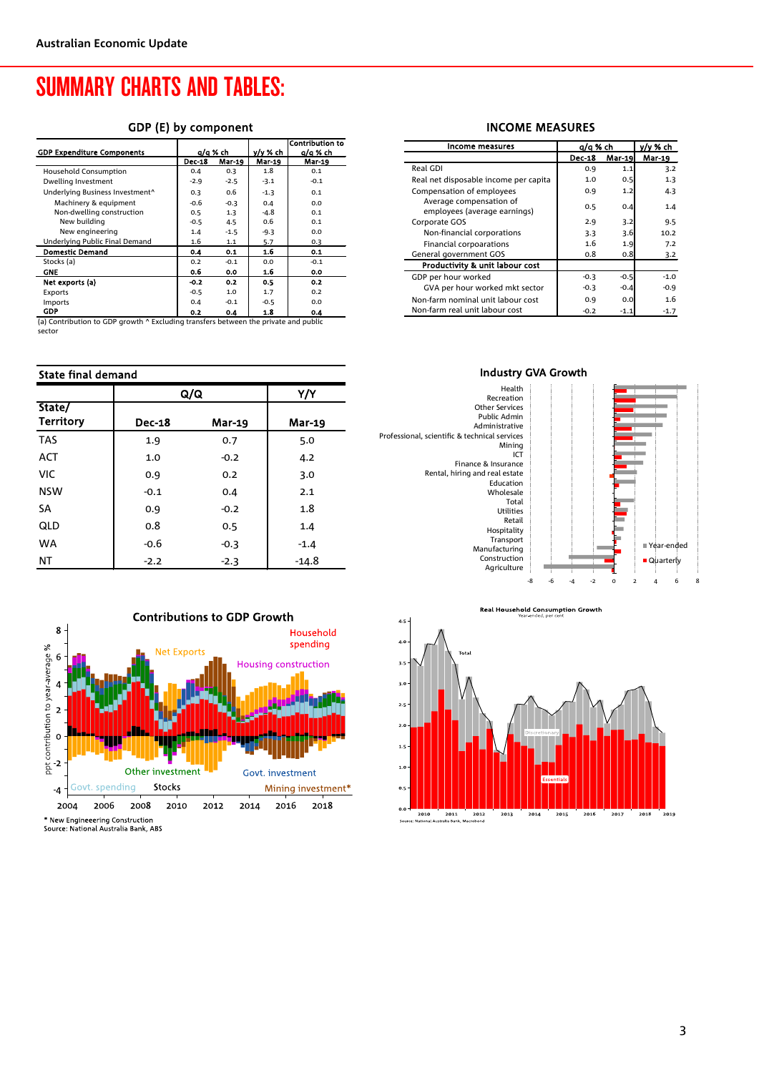## SUMMARY CHARTS AND TABLES:

### GDP (E) by component

|                                                                                     |               |        |          | Contribution to |  |
|-------------------------------------------------------------------------------------|---------------|--------|----------|-----------------|--|
| <b>GDP Expenditure Components</b>                                                   | q/q % ch      |        | v/v % ch | g/g % ch        |  |
|                                                                                     | <b>Dec-18</b> | Mar-19 | Mar-19   | Mar-19          |  |
| <b>Household Consumption</b>                                                        | 0.4           | 0.3    | 1.8      | 0.1             |  |
| Dwelling Investment                                                                 | $-2.9$        | $-2.5$ | $-3.1$   | $-0.1$          |  |
| Underlying Business Investment^                                                     | 0.3           | 0.6    | $-1.3$   | 0.1             |  |
| Machinery & equipment                                                               | $-0.6$        | $-0.3$ | 0.4      | 0.0             |  |
| Non-dwelling construction                                                           | 0.5           | 1.3    | $-4.8$   | 0.1             |  |
| New building                                                                        | $-0.5$        | 4.5    | 0.6      | 0.1             |  |
| New engineering                                                                     | 1.4           | $-1.5$ | $-9.3$   | 0.0             |  |
| Underlying Public Final Demand                                                      | 1.6           | 1.1    | 5.7      | 0.3             |  |
| <b>Domestic Demand</b>                                                              | 0.4           | 0.1    | 1.6      | 0.1             |  |
| Stocks (a)                                                                          | 0.2           | $-0.1$ | 0.0      | $-0.1$          |  |
| <b>GNE</b>                                                                          | 0.6           | 0.0    | 1.6      | 0.0             |  |
| Net exports (a)                                                                     | $-0.2$        | 0.2    | 0.5      | 0.2             |  |
| Exports                                                                             | $-0.5$        | 1.0    | 1.7      | 0.2             |  |
| Imports                                                                             | 0.4           | $-0.1$ | $-0.5$   | 0.0             |  |
| <b>GDP</b>                                                                          | 0.2           | 0.4    | 1.8      | 0.4             |  |
| (a) Contribution to GDP growth ^ Excluding transfers between the private and public |               |        |          |                 |  |

sector

| <b>State final demand</b>  |               |               |        |  |  |  |
|----------------------------|---------------|---------------|--------|--|--|--|
|                            |               | Q/Q           |        |  |  |  |
| State/<br><b>Territory</b> | <b>Dec-18</b> | <b>Mar-19</b> | Mar-19 |  |  |  |
| <b>TAS</b>                 | 1.9           | 0.7           | 5.0    |  |  |  |
| <b>ACT</b>                 | 1.0           | $-0.2$        | 4.2    |  |  |  |
| <b>VIC</b>                 | 0.9           | 0.2           | 3.0    |  |  |  |
| <b>NSW</b>                 | $-0.1$        | 0.4           | 2.1    |  |  |  |
| SA                         | 0.9           | $-0.2$        | 1.8    |  |  |  |
| QLD                        | 0.8           | 0.5           | 1.4    |  |  |  |
| <b>WA</b>                  | $-0.6$        | $-0.3$        | $-1.4$ |  |  |  |

NT -2.2 -2.3 -14.8



j.

#### INCOME MEASURES

| Income measures                                         | q/q % ch      |        | v/v % ch      |
|---------------------------------------------------------|---------------|--------|---------------|
|                                                         | <b>Dec-18</b> | Mar-19 | <b>Mar-19</b> |
| Real GDI                                                | 0.9           | 1.1    | 3.2           |
| Real net disposable income per capita                   | 1.0           | 0.5    | 1.3           |
| Compensation of employees                               | 0.9           | 1.2    | 4.3           |
| Average compensation of<br>employees (average earnings) | 0.5           | 0.4    | 1.4           |
| Corporate GOS                                           | 2.9           | 3.2    | 9.5           |
| Non-financial corporations                              | 3.3           | 3.6    | 10.2          |
| Financial corpoarations                                 | 1.6           | 1.9    | 7.2           |
| General government GOS                                  | 0.8           | 0.8    | 3.2           |
| Productivity & unit labour cost                         |               |        |               |
| GDP per hour worked                                     | $-0.3$        | $-0.5$ | $-1.0$        |
| GVA per hour worked mkt sector                          | $-0.3$        | $-0.4$ | $-0.9$        |
| Non-farm nominal unit labour cost                       | 0.9           | 0.0    | 1.6           |
| Non-farm real unit labour cost                          | $-0.2$        | $-1.1$ | $-1.7$        |





### Industry GVA Growth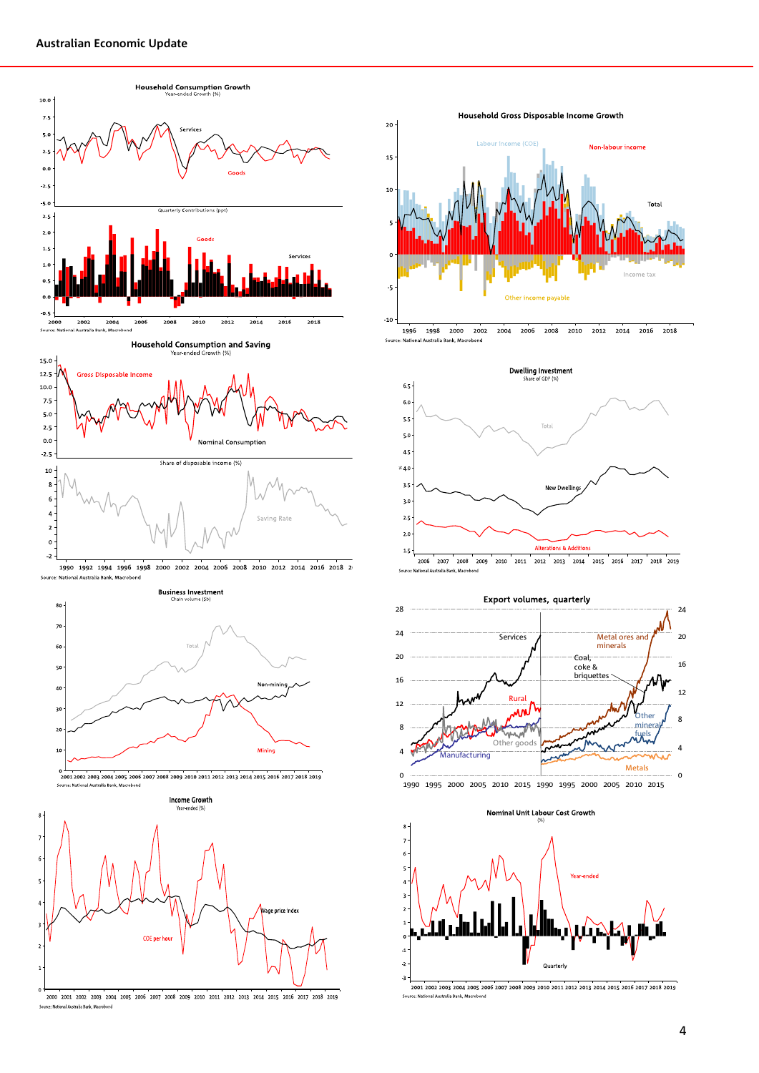#### **Australian Economic Update**









,<br>2000 2001 2002 2003 2004 2005 2006 2007 2008 2009 2010 2011 2012 2013 2014 2015 2016 2017 2018 2019 Source: N





 $2006$   $2007$   $2008$ 2009  ${\bf 2010}$ 2011 2012 2013 2014 2015 2016 2017 2018 2019 Sourc lational Australia Bank, Macrob







2001 2002 2003 2004 2005 2006 2007 2008 2009 2010 2011 2012 2013 2014 2015 2016 2017 2018 2019 Source: Na .<br>nal Australia Bank, Macrobono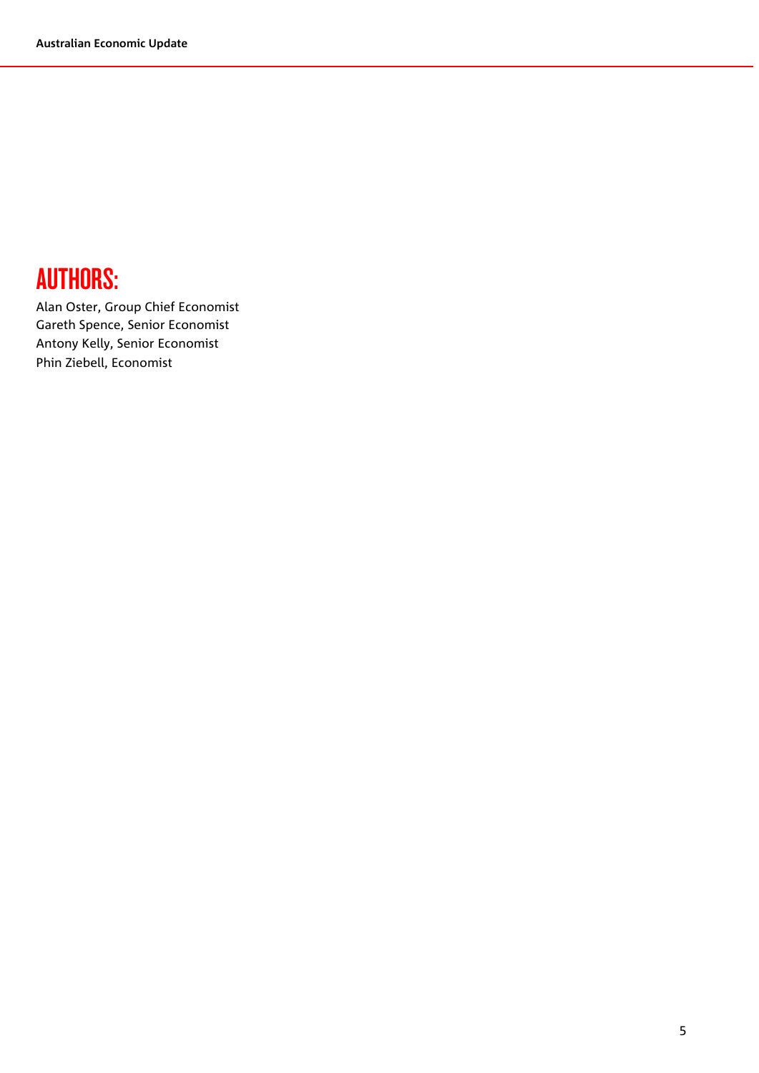# AUTHORS:

Alan Oster, Group Chief Economist Gareth Spence, Senior Economist Antony Kelly, Senior Economist Phin Ziebell, Economist